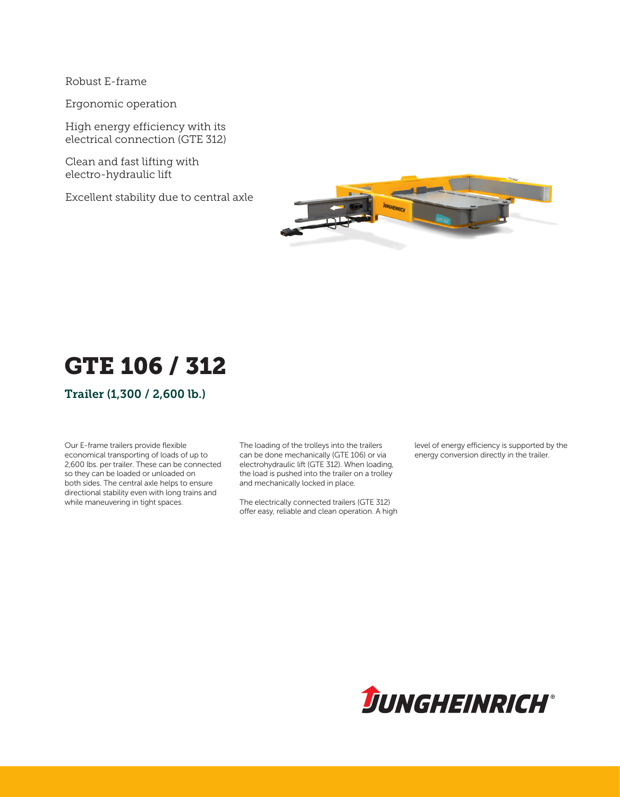Robust E-frame

Ergonomic operation

High energy efficiency with its electrical connection (GTE 312)

Clean and fast lifting with electro-hydraulic lift

Excellent stability due to central axle



# GTE 106 / 312

Trailer (1,300 / 2,600 lb.)

Our E-frame trailers provide flexible economical transporting of loads of up to 2,600 lbs. per trailer. These can be connected so they can be loaded or unloaded on both sides. The central axle helps to ensure directional stability even with long trains and while maneuvering in tight spaces.

The loading of the trolleys into the trailers can be done mechanically (GTE 106) or via electrohydraulic lift (GTE 312). When loading, the load is pushed into the trailer on a trolley and mechanically locked in place.

The electrically connected trailers (GTE 312) offer easy, reliable and clean operation. A high level of energy efficiency is supported by the energy conversion directly in the trailer.

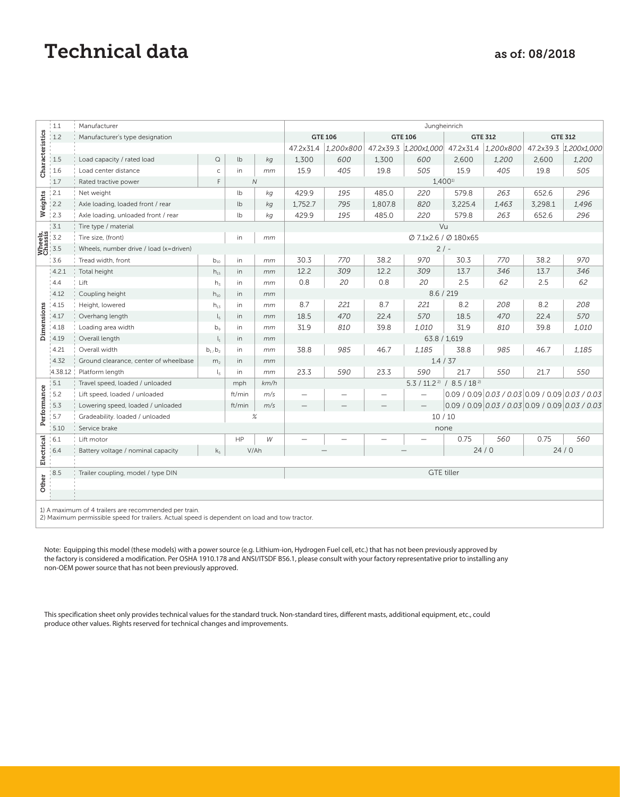### Technical data as of: 08/2018

|                                                                                               | : 1.1                              | Manufacturer                                          | Jungheinrich              |                |                      |                                  |                |                |                          |                |                                                           |                |                       |  |  |
|-----------------------------------------------------------------------------------------------|------------------------------------|-------------------------------------------------------|---------------------------|----------------|----------------------|----------------------------------|----------------|----------------|--------------------------|----------------|-----------------------------------------------------------|----------------|-----------------------|--|--|
| Characteristics                                                                               | 1.2                                | Manufacturer's type designation                       |                           |                |                      |                                  | <b>GTE 106</b> | <b>GTE 106</b> |                          | <b>GTE 312</b> |                                                           | <b>GTE 312</b> |                       |  |  |
|                                                                                               |                                    |                                                       |                           |                |                      | 47.2x31.4                        | 1,200x800      |                | 47.2x39.3 1,200x1,000    | 47.2x31.4      | 1,200x800                                                 |                | 47.2x39.3 1,200x1,000 |  |  |
|                                                                                               | 1.5                                | Load capacity / rated load                            | $\hbox{\large \it Q}$     | lb             | kg                   | 1,300                            | 600            | 1.300          | 600                      | 2,600          | 1,200                                                     | 2,600          | 1,200                 |  |  |
|                                                                                               | 1.6                                | Load center distance                                  | $\mathsf{C}$              | in             | mm                   | 15.9                             | 405            | 19.8           | 505                      | 15.9           | 405                                                       | 19.8           | 505                   |  |  |
|                                                                                               | 1.7                                | E<br>Rated tractive power                             |                           | $\overline{N}$ |                      |                                  |                |                | $1,400^{11}$             |                |                                                           |                |                       |  |  |
| Weights                                                                                       | $\frac{1}{2}$ .1                   | Net weight                                            |                           | lb             | kg                   | 429.9                            | 195            | 485.0          | 220                      | 579.8          | 263                                                       | 652.6          | 296                   |  |  |
|                                                                                               | 2.2                                | Axle loading, loaded front / rear                     | lb                        | kg             | 1,752.7              | 795                              | 1,807.8        | 820            | 3,225.4                  | 1,463          | 3,298.1                                                   | 1,496          |                       |  |  |
|                                                                                               | $\frac{1}{2}$ .3                   | Axle loading, unloaded front / rear                   |                           | lb             | kg                   | 429.9                            | 195            | 485.0          | 220                      | 579.8          | 263                                                       | 652.6          | 296                   |  |  |
|                                                                                               | 3.1                                | Tire type / material                                  |                           |                | Vu                   |                                  |                |                |                          |                |                                                           |                |                       |  |  |
|                                                                                               | Media<br>Stassis<br>Chassis<br>3.5 | Tire size, (front)                                    | in                        | mm             | Ø 7.1x2.6 / Ø 180x65 |                                  |                |                |                          |                |                                                           |                |                       |  |  |
|                                                                                               |                                    | Wheels, number drive / load (x=driven)                |                           |                |                      |                                  | $2/ -$         |                |                          |                |                                                           |                |                       |  |  |
|                                                                                               | 3.6                                | Tread width, front                                    | $b_{10}$                  | in             | mm                   | 30.3                             | 770            | 38.2           | 970                      | 30.3           | 770                                                       | 38.2           | 970                   |  |  |
|                                                                                               | 4.2.1                              | Total height                                          | $h_{15}$                  | in             | mm                   | 12.2                             | 309            | 12.2           | 309                      | 13.7           | 346                                                       | 13.7           | 346                   |  |  |
|                                                                                               | 4.4                                | Lift                                                  | h <sub>3</sub>            | in             | mm                   | 0.8                              | 20             | 0.8            | 20                       | 2.5            | 62                                                        | 2.5            | 62                    |  |  |
|                                                                                               | 4.12                               | Coupling height                                       | $h_{10}$                  | in             | mm                   |                                  |                |                | 8.6 / 219                |                |                                                           |                |                       |  |  |
|                                                                                               | 4.15                               | Height, lowered                                       | $h_{13}$                  | in             | mm                   | 8.7                              | 221            | 8.7            | 221                      | 8.2            | 208                                                       | 8.2            | 208                   |  |  |
|                                                                                               | 4.17                               | Overhang length                                       | $\mathsf{L}_{\mathsf{S}}$ | in             | mm                   | 18.5                             | 470            | 22.4           | 570                      | 18.5           | 470                                                       | 22.4           | 570                   |  |  |
| Dimensions                                                                                    | 4.18                               | Loading area width                                    | $b^{\circ}$               | in             | mm                   | 31.9                             | 810            | 39.8           | 1,010                    | 31.9           | 810                                                       | 39.8           | 1,010                 |  |  |
|                                                                                               | 4.19                               | Overall length                                        | $\mathsf{l}_1$            | in             | mm                   |                                  |                | 63.8 / 1,619   |                          |                |                                                           |                |                       |  |  |
|                                                                                               | 4.21                               | Overall width                                         | $b_1$ , $b_2$             | in             | mm                   | 38.8                             | 985            | 46.7           | 1,185                    | 38.8           | 985                                                       | 46.7           | 1.185                 |  |  |
|                                                                                               | 4.32                               | Ground clearance, center of wheelbase                 | m <sub>2</sub>            | in             | mm                   |                                  |                |                | 1.4 / 37                 |                |                                                           |                |                       |  |  |
|                                                                                               | 4.38.12                            | Platform length                                       | $l_{\rm x}$               | in             | mm                   | 23.3                             | 590            | 23.3           | 590                      | 21.7           | 550                                                       | 21.7           | 550                   |  |  |
|                                                                                               | 5.1                                | Travel speed, loaded / unloaded<br>km/h<br>mph        |                           |                |                      | $5.3 / 11.2^{2} / 8.5 / 18^{21}$ |                |                |                          |                |                                                           |                |                       |  |  |
|                                                                                               | 15.2                               | Lift speed, loaded / unloaded                         |                           | ft/min         | m/s                  | $\overline{\phantom{0}}$         |                |                | $\overline{\phantom{0}}$ |                | $0.09$ / 0.09 $0.03$ / 0.03 $ 0.09$ / 0.09 $ 0.03$ / 0.03 |                |                       |  |  |
| Performance                                                                                   | 5.3                                | Lowering speed, loaded / unloaded                     |                           | ft/min         | m/s                  |                                  |                |                |                          |                | $0.09 / 0.09   0.03 / 0.03   0.09 / 0.09   0.03 / 0.03$   |                |                       |  |  |
|                                                                                               | 5.7                                | Gradeability. loaded / unloaded                       | 10/10                     |                |                      |                                  |                |                |                          |                |                                                           |                |                       |  |  |
|                                                                                               | 5.10                               | Service brake                                         | none                      |                |                      |                                  |                |                |                          |                |                                                           |                |                       |  |  |
| Electrical                                                                                    | 6.1                                | Lift motor                                            |                           | HP             | W                    |                                  |                |                |                          | 0.75           | 560                                                       | 0.75           | 560                   |  |  |
|                                                                                               | 6.4                                | Battery voltage / nominal capacity<br>k <sub>5</sub>  |                           | V/Ah           |                      |                                  |                |                |                          | 24/0           |                                                           | 24/0           |                       |  |  |
|                                                                                               |                                    |                                                       |                           |                |                      |                                  |                |                |                          |                |                                                           |                |                       |  |  |
|                                                                                               | 8.5                                | Trailer coupling, model / type DIN                    | <b>GTE tiller</b>         |                |                      |                                  |                |                |                          |                |                                                           |                |                       |  |  |
| Other                                                                                         |                                    |                                                       |                           |                |                      |                                  |                |                |                          |                |                                                           |                |                       |  |  |
|                                                                                               |                                    |                                                       |                           |                |                      |                                  |                |                |                          |                |                                                           |                |                       |  |  |
|                                                                                               |                                    | 1) A maximum of 4 trailers are recommended per train. |                           |                |                      |                                  |                |                |                          |                |                                                           |                |                       |  |  |
| 2) Maximum permissible speed for trailers. Actual speed is dependent on load and tow tractor. |                                    |                                                       |                           |                |                      |                                  |                |                |                          |                |                                                           |                |                       |  |  |

Note: Equipping this model (these models) with a power source (e.g. Lithium-ion, Hydrogen Fuel cell, etc.) that has not been previously approved by the factory is considered a modification. Per OSHA 1910.178 and ANSI/ITSDF B56.1, please consult with your factory representative prior to installing any non-OEM power source that has not been previously approved.

This specification sheet only provides technical values for the standard truck. Non-standard tires, different masts, additional equipment, etc., could produce other values. Rights reserved for technical changes and improvements.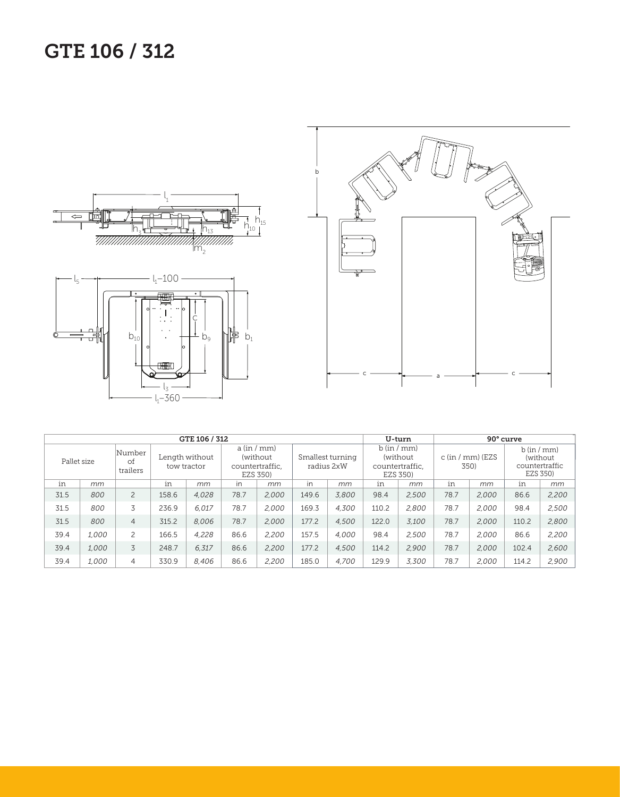## GTE 106 / 312







| GTE 106 / 312 |                          |                |                               |       |                                                         |       |                                |       | U-turn                                                |       | 90° curve                  |       |                                                       |       |
|---------------|--------------------------|----------------|-------------------------------|-------|---------------------------------------------------------|-------|--------------------------------|-------|-------------------------------------------------------|-------|----------------------------|-------|-------------------------------------------------------|-------|
| Pallet size   | Number<br>of<br>trailers |                | Length without<br>tow tractor |       | a (in / mm)<br>(without)<br>countertraffic,<br>EZS 350) |       | Smallest turning<br>radius 2xW |       | b (in/mm)<br>(without)<br>countertraffic,<br>EZS 350) |       | $c (in / mm)$ (EZS<br>350) |       | b (in / mm)<br>(without<br>countertraffic<br>EZS 350) |       |
| in            | mm                       |                | in                            | mm    | in                                                      | mm    | in                             | mm    | in                                                    | mm    | in                         | mm    | in                                                    | mm    |
| 31.5          | 800                      | $\overline{c}$ | 158.6                         | 4.028 | 78.7                                                    | 2,000 | 149.6                          | 3,800 | 98.4                                                  | 2,500 | 78.7                       | 2,000 | 86.6                                                  | 2,200 |
| 31.5          | 800                      | 3              | 236.9                         | 6.017 | 78.7                                                    | 2.000 | 169.3                          | 4.300 | 110.2                                                 | 2.800 | 78.7                       | 2,000 | 98.4                                                  | 2,500 |
| 31.5          | 800                      | $\overline{4}$ | 315.2                         | 8.006 | 78.7                                                    | 2,000 | 177.2                          | 4.500 | 122.0                                                 | 3.100 | 78.7                       | 2,000 | 110.2                                                 | 2,800 |
| 39.4          | 1.000                    | $\overline{c}$ | 166.5                         | 4.228 | 86.6                                                    | 2,200 | 157.5                          | 4.000 | 98.4                                                  | 2.500 | 78.7                       | 2.000 | 86.6                                                  | 2,200 |
| 39.4          | 1.000                    | 3              | 248.7                         | 6.317 | 86.6                                                    | 2,200 | 177.2                          | 4,500 | 114.2                                                 | 2,900 | 78.7                       | 2,000 | 102.4                                                 | 2,600 |
| 39.4          | 1,000                    | $\overline{4}$ | 330.9                         | 8,406 | 86.6                                                    | 2,200 | 185.0                          | 4,700 | 129.9                                                 | 3,300 | 78.7                       | 2,000 | 114.2                                                 | 2,900 |